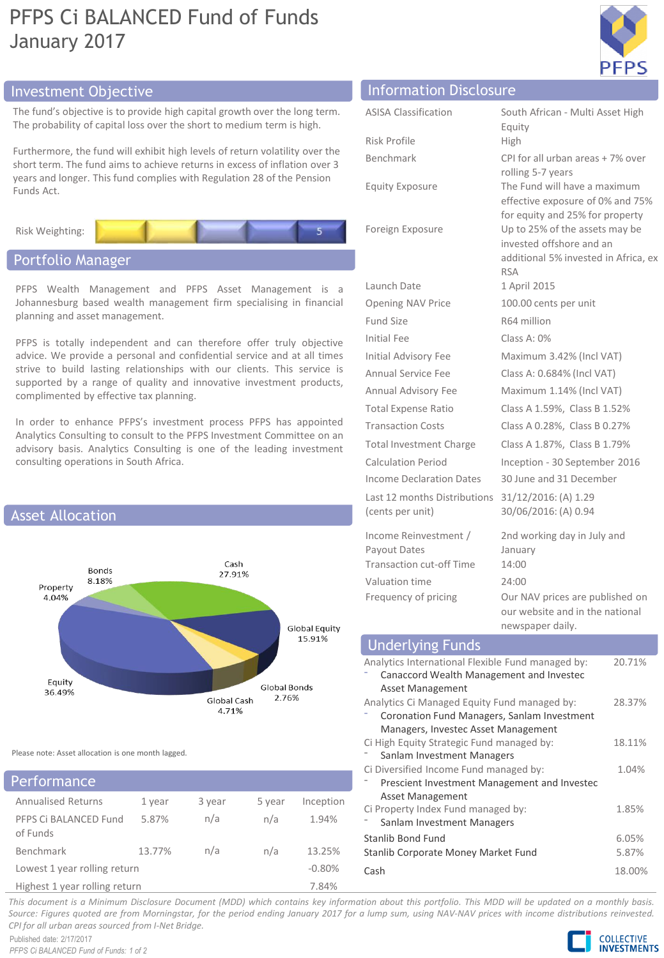# PFPS Ci BALANCED Fund of Funds January 2017



## Investment Objective Information Disclosure

The fund's objective is to provide high capital growth over the long term. The probability of capital loss over the short to medium term is high.

Furthermore, the fund will exhibit high levels of return volatility over the short term. The fund aims to achieve returns in excess of inflation over 3 years and longer. This fund complies with Regulation 28 of the Pension Funds Act.



## Portfolio Manager

PFPS Wealth Management and PFPS Asset Management is a Johannesburg based wealth management firm specialising in financial planning and asset management.

PFPS is totally independent and can therefore offer truly objective advice. We provide a personal and confidential service and at all times strive to build lasting relationships with our clients. This service is supported by a range of quality and innovative investment products, complimented by effective tax planning.

In order to enhance PFPS's investment process PFPS has appointed Analytics Consulting to consult to the PFPS Investment Committee on an advisory basis. Analytics Consulting is one of the leading investment consulting operations in South Africa.



Please note: Asset allocation is one month lagged.

## Annualised Returns 1 year 3 year 5 year Inception PFPS Ci BALANCED Fund of Funds 5.87% n/a n/a 1.94% Benchmark 13.77% n/a n/a 13.25% Lowest 1 year rolling return  $-0.80\%$ Highest 1 year rolling return 7.84% Performance

| <b>INTERNATIONAL PROCESSING</b> |                                                                  |
|---------------------------------|------------------------------------------------------------------|
| <b>ASISA Classification</b>     | South African - Multi Asset High                                 |
|                                 | Equity                                                           |
| Risk Profile                    | High                                                             |
| <b>Benchmark</b>                | CPI for all urban areas + 7% over                                |
|                                 | rolling 5-7 years                                                |
| <b>Equity Exposure</b>          | The Fund will have a maximum<br>effective exposure of 0% and 75% |
|                                 | for equity and 25% for property                                  |
| Foreign Exposure                | Up to 25% of the assets may be                                   |
|                                 | invested offshore and an                                         |
|                                 | additional 5% invested in Africa, ex<br><b>RSA</b>               |
| Launch Date                     | 1 April 2015                                                     |
| <b>Opening NAV Price</b>        | 100.00 cents per unit                                            |
| <b>Fund Size</b>                | R64 million                                                      |
| Initial Fee                     | Class A: $0\%$                                                   |
| <b>Initial Advisory Fee</b>     | Maximum 3.42% (Incl VAT)                                         |
| Annual Service Fee              | Class A: 0.684% (Incl VAT)                                       |
| Annual Advisory Fee             | Maximum 1.14% (Incl VAT)                                         |
| <b>Total Expense Ratio</b>      | Class A 1.59%, Class B 1.52%                                     |
| <b>Transaction Costs</b>        | Class A 0.28%, Class B 0.27%                                     |
| <b>Total Investment Charge</b>  | Class A 1.87%, Class B 1.79%                                     |
| <b>Calculation Period</b>       | Inception - 30 September 2016                                    |
| <b>Income Declaration Dates</b> | 30 June and 31 December                                          |
| Last 12 months Distributions    | 31/12/2016: (A) 1.29                                             |
| (cents per unit)                | 30/06/2016: (A) 0.94                                             |
| Income Reinvestment /           | 2nd working day in July and                                      |
| Payout Dates                    | January                                                          |
| Transaction cut-off Time        | 14:00                                                            |
| Valuation time                  | 24:00                                                            |
| Frequency of pricing            | Our NAV prices are published on                                  |
|                                 | our website and in the national<br>newspaper daily.              |
|                                 |                                                                  |

#### Analytics International Flexible Fund managed by: ⁻ Canaccord Wealth Management and Investec Asset Management 20.71% Analytics Ci Managed Equity Fund managed by: ⁻ Coronation Fund Managers, Sanlam Investment Managers, Investec Asset Management 28.37% Ci High Equity Strategic Fund managed by: Sanlam Investment Managers 18.11% Ci Diversified Income Fund managed by: ⁻ Prescient Investment Management and Investec Asset Management 1.04% Ci Property Index Fund managed by: Sanlam Investment Managers 1.85% Stanlib Bond Fund 6.05% Stanlib Corporate Money Market Fund 5.87% Cash 18.00% Underlying Funds

This document is a Minimum Disclosure Document (MDD) which contains key information about this portfolio. This MDD will be updated on a monthly basis. Source: Figures guoted are from Morningstar, for the period ending January 2017 for a lump sum, using NAV-NAV prices with income distributions reinvested. *CPI for all urban areas sourced from I-Net Bridge.*

Published date: 2/17/2017 *PFPS Ci BALANCED Fund of Funds: 1 of 2*